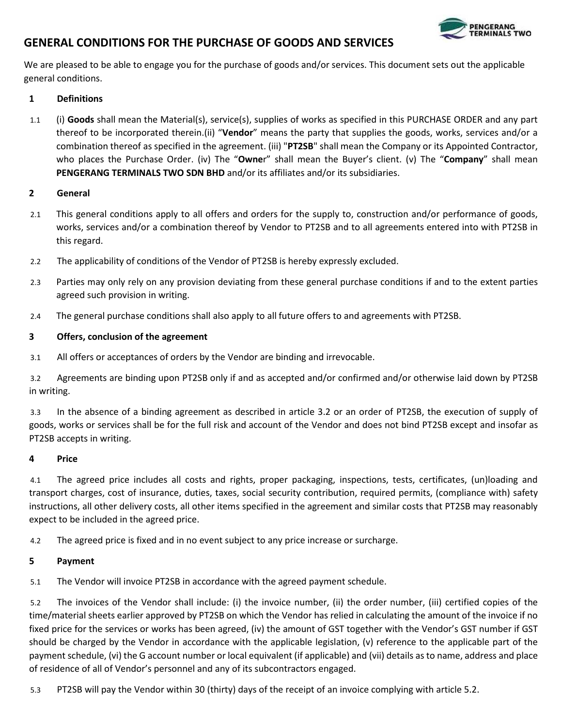

# **GENERAL CONDITIONS FOR THE PURCHASE OF GOODS AND SERVICES**

We are pleased to be able to engage you for the purchase of goods and/or services. This document sets out the applicable general conditions.

## **1 Definitions**

1.1 (i) **Goods** shall mean the Material(s), service(s), supplies of works as specified in this PURCHASE ORDER and any part thereof to be incorporated therein.(ii) "**Vendor**" means the party that supplies the goods, works, services and/or a combination thereof as specified in the agreement. (iii) "**PT2SB**" shall mean the Company or its Appointed Contractor, who places the Purchase Order. (iv) The "**Owne**r" shall mean the Buyer's client. (v) The "**Company**" shall mean **PENGERANG TERMINALS TWO SDN BHD** and/or its affiliates and/or its subsidiaries.

#### **2 General**

- 2.1 This general conditions apply to all offers and orders for the supply to, construction and/or performance of goods, works, services and/or a combination thereof by Vendor to PT2SB and to all agreements entered into with PT2SB in this regard.
- 2.2 The applicability of conditions of the Vendor of PT2SB is hereby expressly excluded.
- 2.3 Parties may only rely on any provision deviating from these general purchase conditions if and to the extent parties agreed such provision in writing.
- 2.4 The general purchase conditions shall also apply to all future offers to and agreements with PT2SB.

#### **3 Offers, conclusion of the agreement**

3.1 All offers or acceptances of orders by the Vendor are binding and irrevocable.

3.2 Agreements are binding upon PT2SB only if and as accepted and/or confirmed and/or otherwise laid down by PT2SB in writing.

3.3 In the absence of a binding agreement as described in article 3.2 or an order of PT2SB, the execution of supply of goods, works or services shall be for the full risk and account of the Vendor and does not bind PT2SB except and insofar as PT2SB accepts in writing.

#### **4 Price**

4.1 The agreed price includes all costs and rights, proper packaging, inspections, tests, certificates, (un)loading and transport charges, cost of insurance, duties, taxes, social security contribution, required permits, (compliance with) safety instructions, all other delivery costs, all other items specified in the agreement and similar costs that PT2SB may reasonably expect to be included in the agreed price.

4.2 The agreed price is fixed and in no event subject to any price increase or surcharge.

#### **5 Payment**

5.1 The Vendor will invoice PT2SB in accordance with the agreed payment schedule.

5.2 The invoices of the Vendor shall include: (i) the invoice number, (ii) the order number, (iii) certified copies of the time/material sheets earlier approved by PT2SB on which the Vendor has relied in calculating the amount of the invoice if no fixed price for the services or works has been agreed, (iv) the amount of GST together with the Vendor's GST number if GST should be charged by the Vendor in accordance with the applicable legislation, (v) reference to the applicable part of the payment schedule, (vi) the G account number or local equivalent (if applicable) and (vii) details as to name, address and place of residence of all of Vendor's personnel and any of its subcontractors engaged.

5.3 PT2SB will pay the Vendor within 30 (thirty) days of the receipt of an invoice complying with article 5.2.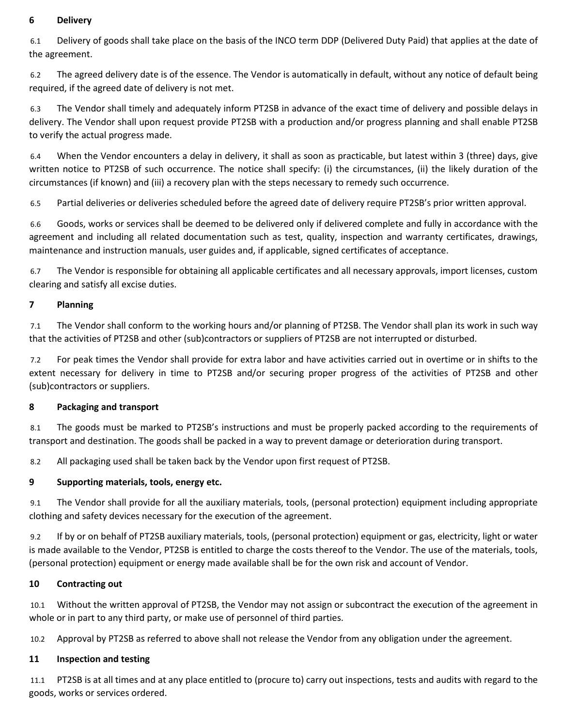# **6 Delivery**

6.1 Delivery of goods shall take place on the basis of the INCO term DDP (Delivered Duty Paid) that applies at the date of the agreement.

6.2 The agreed delivery date is of the essence. The Vendor is automatically in default, without any notice of default being required, if the agreed date of delivery is not met.

6.3 The Vendor shall timely and adequately inform PT2SB in advance of the exact time of delivery and possible delays in delivery. The Vendor shall upon request provide PT2SB with a production and/or progress planning and shall enable PT2SB to verify the actual progress made.

6.4 When the Vendor encounters a delay in delivery, it shall as soon as practicable, but latest within 3 (three) days, give written notice to PT2SB of such occurrence. The notice shall specify: (i) the circumstances, (ii) the likely duration of the circumstances (if known) and (iii) a recovery plan with the steps necessary to remedy such occurrence.

6.5 Partial deliveries or deliveries scheduled before the agreed date of delivery require PT2SB's prior written approval.

6.6 Goods, works or services shall be deemed to be delivered only if delivered complete and fully in accordance with the agreement and including all related documentation such as test, quality, inspection and warranty certificates, drawings, maintenance and instruction manuals, user guides and, if applicable, signed certificates of acceptance.

6.7 The Vendor is responsible for obtaining all applicable certificates and all necessary approvals, import licenses, custom clearing and satisfy all excise duties.

## **7 Planning**

7.1 The Vendor shall conform to the working hours and/or planning of PT2SB. The Vendor shall plan its work in such way that the activities of PT2SB and other (sub)contractors or suppliers of PT2SB are not interrupted or disturbed.

7.2 For peak times the Vendor shall provide for extra labor and have activities carried out in overtime or in shifts to the extent necessary for delivery in time to PT2SB and/or securing proper progress of the activities of PT2SB and other (sub)contractors or suppliers.

#### **8 Packaging and transport**

8.1 The goods must be marked to PT2SB's instructions and must be properly packed according to the requirements of transport and destination. The goods shall be packed in a way to prevent damage or deterioration during transport.

8.2 All packaging used shall be taken back by the Vendor upon first request of PT2SB.

#### **9 Supporting materials, tools, energy etc.**

9.1 The Vendor shall provide for all the auxiliary materials, tools, (personal protection) equipment including appropriate clothing and safety devices necessary for the execution of the agreement.

9.2 If by or on behalf of PT2SB auxiliary materials, tools, (personal protection) equipment or gas, electricity, light or water is made available to the Vendor, PT2SB is entitled to charge the costs thereof to the Vendor. The use of the materials, tools, (personal protection) equipment or energy made available shall be for the own risk and account of Vendor.

#### **10 Contracting out**

10.1 Without the written approval of PT2SB, the Vendor may not assign or subcontract the execution of the agreement in whole or in part to any third party, or make use of personnel of third parties.

10.2 Approval by PT2SB as referred to above shall not release the Vendor from any obligation under the agreement.

#### **11 Inspection and testing**

11.1 PT2SB is at all times and at any place entitled to (procure to) carry out inspections, tests and audits with regard to the goods, works or services ordered.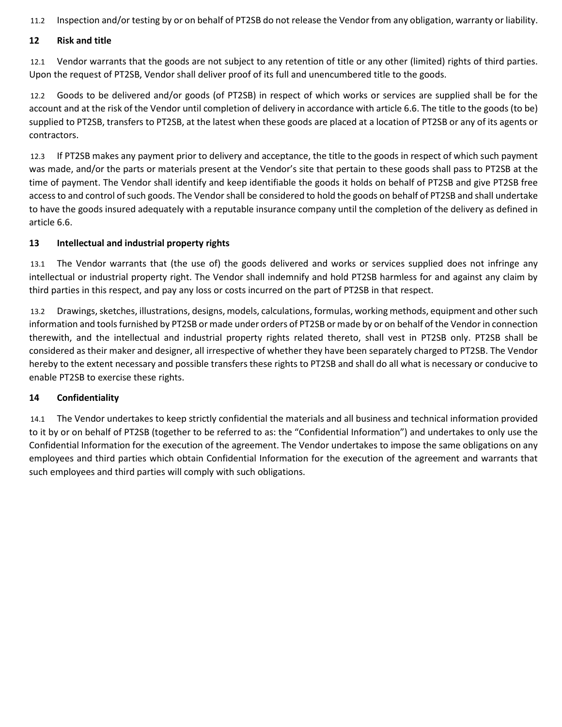11.2 Inspection and/or testing by or on behalf of PT2SB do not release the Vendor from any obligation, warranty or liability.

## **12 Risk and title**

12.1 Vendor warrants that the goods are not subject to any retention of title or any other (limited) rights of third parties. Upon the request of PT2SB, Vendor shall deliver proof of its full and unencumbered title to the goods.

12.2 Goods to be delivered and/or goods (of PT2SB) in respect of which works or services are supplied shall be for the account and at the risk of the Vendor until completion of delivery in accordance with article 6.6. The title to the goods (to be) supplied to PT2SB, transfers to PT2SB, at the latest when these goods are placed at a location of PT2SB or any of its agents or contractors.

12.3 If PT2SB makes any payment prior to delivery and acceptance, the title to the goods in respect of which such payment was made, and/or the parts or materials present at the Vendor's site that pertain to these goods shall pass to PT2SB at the time of payment. The Vendor shall identify and keep identifiable the goods it holds on behalf of PT2SB and give PT2SB free access to and control of such goods. The Vendor shall be considered to hold the goods on behalf of PT2SB and shall undertake to have the goods insured adequately with a reputable insurance company until the completion of the delivery as defined in article 6.6.

## **13 Intellectual and industrial property rights**

13.1 The Vendor warrants that (the use of) the goods delivered and works or services supplied does not infringe any intellectual or industrial property right. The Vendor shall indemnify and hold PT2SB harmless for and against any claim by third parties in this respect, and pay any loss or costs incurred on the part of PT2SB in that respect.

13.2 Drawings, sketches, illustrations, designs, models, calculations, formulas, working methods, equipment and other such information and tools furnished by PT2SB or made under orders of PT2SB or made by or on behalf of the Vendor in connection therewith, and the intellectual and industrial property rights related thereto, shall vest in PT2SB only. PT2SB shall be considered as their maker and designer, all irrespective of whether they have been separately charged to PT2SB. The Vendor hereby to the extent necessary and possible transfers these rights to PT2SB and shall do all what is necessary or conducive to enable PT2SB to exercise these rights.

#### **14 Confidentiality**

14.1 The Vendor undertakes to keep strictly confidential the materials and all business and technical information provided to it by or on behalf of PT2SB (together to be referred to as: the "Confidential Information") and undertakes to only use the Confidential Information for the execution of the agreement. The Vendor undertakes to impose the same obligations on any employees and third parties which obtain Confidential Information for the execution of the agreement and warrants that such employees and third parties will comply with such obligations.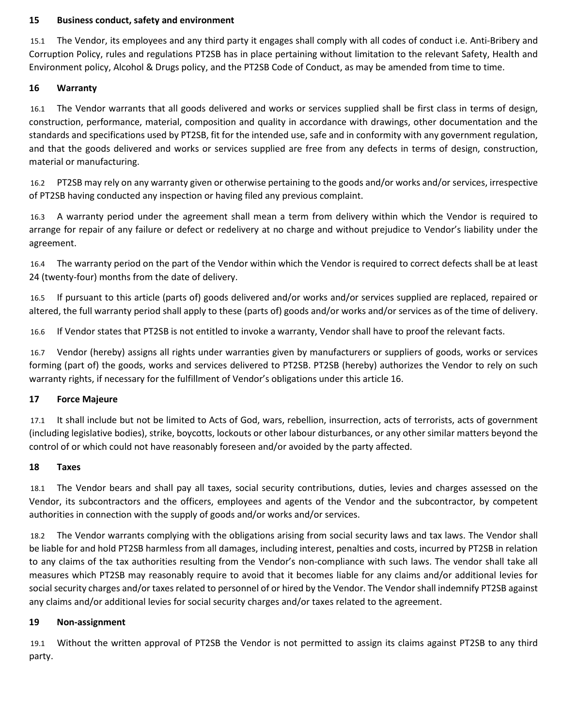#### **15 Business conduct, safety and environment**

15.1 The Vendor, its employees and any third party it engages shall comply with all codes of conduct i.e. Anti-Bribery and Corruption Policy, rules and regulations PT2SB has in place pertaining without limitation to the relevant Safety, Health and Environment policy, Alcohol & Drugs policy, and the PT2SB Code of Conduct, as may be amended from time to time.

#### **16 Warranty**

16.1 The Vendor warrants that all goods delivered and works or services supplied shall be first class in terms of design, construction, performance, material, composition and quality in accordance with drawings, other documentation and the standards and specifications used by PT2SB, fit for the intended use, safe and in conformity with any government regulation, and that the goods delivered and works or services supplied are free from any defects in terms of design, construction, material or manufacturing.

16.2 PT2SB may rely on any warranty given or otherwise pertaining to the goods and/or works and/or services, irrespective of PT2SB having conducted any inspection or having filed any previous complaint.

16.3 A warranty period under the agreement shall mean a term from delivery within which the Vendor is required to arrange for repair of any failure or defect or redelivery at no charge and without prejudice to Vendor's liability under the agreement.

16.4 The warranty period on the part of the Vendor within which the Vendor is required to correct defects shall be at least 24 (twenty-four) months from the date of delivery.

16.5 If pursuant to this article (parts of) goods delivered and/or works and/or services supplied are replaced, repaired or altered, the full warranty period shall apply to these (parts of) goods and/or works and/or services as of the time of delivery.

16.6 If Vendor states that PT2SB is not entitled to invoke a warranty, Vendor shall have to proof the relevant facts.

16.7 Vendor (hereby) assigns all rights under warranties given by manufacturers or suppliers of goods, works or services forming (part of) the goods, works and services delivered to PT2SB. PT2SB (hereby) authorizes the Vendor to rely on such warranty rights, if necessary for the fulfillment of Vendor's obligations under this article 16.

# **17 Force Majeure**

17.1 It shall include but not be limited to Acts of God, wars, rebellion, insurrection, acts of terrorists, acts of government (including legislative bodies), strike, boycotts, lockouts or other labour disturbances, or any other similar matters beyond the control of or which could not have reasonably foreseen and/or avoided by the party affected.

#### **18 Taxes**

18.1 The Vendor bears and shall pay all taxes, social security contributions, duties, levies and charges assessed on the Vendor, its subcontractors and the officers, employees and agents of the Vendor and the subcontractor, by competent authorities in connection with the supply of goods and/or works and/or services.

18.2 The Vendor warrants complying with the obligations arising from social security laws and tax laws. The Vendor shall be liable for and hold PT2SB harmless from all damages, including interest, penalties and costs, incurred by PT2SB in relation to any claims of the tax authorities resulting from the Vendor's non-compliance with such laws. The vendor shall take all measures which PT2SB may reasonably require to avoid that it becomes liable for any claims and/or additional levies for social security charges and/or taxes related to personnel of or hired by the Vendor. The Vendor shall indemnify PT2SB against any claims and/or additional levies for social security charges and/or taxes related to the agreement.

#### **19 Non-assignment**

19.1 Without the written approval of PT2SB the Vendor is not permitted to assign its claims against PT2SB to any third party.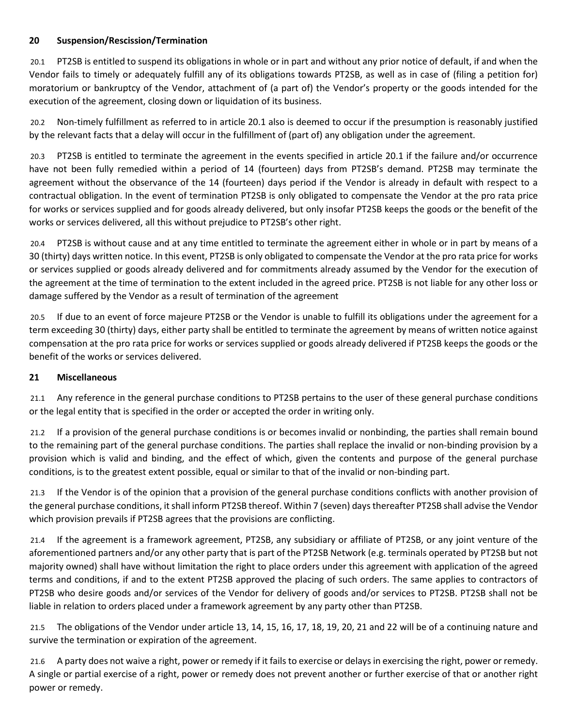# **20 Suspension/Rescission/Termination**

20.1 PT2SB is entitled to suspend its obligations in whole or in part and without any prior notice of default, if and when the Vendor fails to timely or adequately fulfill any of its obligations towards PT2SB, as well as in case of (filing a petition for) moratorium or bankruptcy of the Vendor, attachment of (a part of) the Vendor's property or the goods intended for the execution of the agreement, closing down or liquidation of its business.

20.2 Non-timely fulfillment as referred to in article 20.1 also is deemed to occur if the presumption is reasonably justified by the relevant facts that a delay will occur in the fulfillment of (part of) any obligation under the agreement.

20.3 PT2SB is entitled to terminate the agreement in the events specified in article 20.1 if the failure and/or occurrence have not been fully remedied within a period of 14 (fourteen) days from PT2SB's demand. PT2SB may terminate the agreement without the observance of the 14 (fourteen) days period if the Vendor is already in default with respect to a contractual obligation. In the event of termination PT2SB is only obligated to compensate the Vendor at the pro rata price for works or services supplied and for goods already delivered, but only insofar PT2SB keeps the goods or the benefit of the works or services delivered, all this without prejudice to PT2SB's other right.

20.4 PT2SB is without cause and at any time entitled to terminate the agreement either in whole or in part by means of a 30 (thirty) days written notice. In this event, PT2SB is only obligated to compensate the Vendor at the pro rata price for works or services supplied or goods already delivered and for commitments already assumed by the Vendor for the execution of the agreement at the time of termination to the extent included in the agreed price. PT2SB is not liable for any other loss or damage suffered by the Vendor as a result of termination of the agreement

20.5 If due to an event of force majeure PT2SB or the Vendor is unable to fulfill its obligations under the agreement for a term exceeding 30 (thirty) days, either party shall be entitled to terminate the agreement by means of written notice against compensation at the pro rata price for works or services supplied or goods already delivered if PT2SB keeps the goods or the benefit of the works or services delivered.

#### **21 Miscellaneous**

21.1 Any reference in the general purchase conditions to PT2SB pertains to the user of these general purchase conditions or the legal entity that is specified in the order or accepted the order in writing only.

21.2 If a provision of the general purchase conditions is or becomes invalid or nonbinding, the parties shall remain bound to the remaining part of the general purchase conditions. The parties shall replace the invalid or non-binding provision by a provision which is valid and binding, and the effect of which, given the contents and purpose of the general purchase conditions, is to the greatest extent possible, equal or similar to that of the invalid or non-binding part.

21.3 If the Vendor is of the opinion that a provision of the general purchase conditions conflicts with another provision of the general purchase conditions, it shall inform PT2SB thereof. Within 7 (seven) days thereafter PT2SB shall advise the Vendor which provision prevails if PT2SB agrees that the provisions are conflicting.

21.4 If the agreement is a framework agreement, PT2SB, any subsidiary or affiliate of PT2SB, or any joint venture of the aforementioned partners and/or any other party that is part of the PT2SB Network (e.g. terminals operated by PT2SB but not majority owned) shall have without limitation the right to place orders under this agreement with application of the agreed terms and conditions, if and to the extent PT2SB approved the placing of such orders. The same applies to contractors of PT2SB who desire goods and/or services of the Vendor for delivery of goods and/or services to PT2SB. PT2SB shall not be liable in relation to orders placed under a framework agreement by any party other than PT2SB.

21.5 The obligations of the Vendor under article 13, 14, 15, 16, 17, 18, 19, 20, 21 and 22 will be of a continuing nature and survive the termination or expiration of the agreement.

21.6 A party does not waive a right, power or remedy if it fails to exercise or delays in exercising the right, power or remedy. A single or partial exercise of a right, power or remedy does not prevent another or further exercise of that or another right power or remedy.